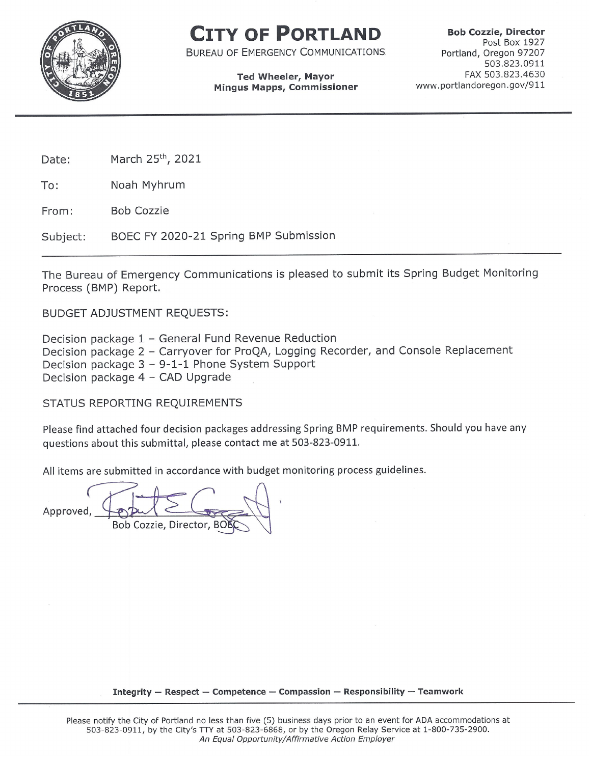

# CITY OF PORTLAND

**BUREAU OF EMERGENCY COMMUNICATIONS** 

### **Ted Wheeler, Mayor Mingus Mapps, Commissioner**

**Bob Cozzie, Director** Post Box 1927 Portland, Oregon 97207 503.823.0911 FAX 503.823.4630 www.portlandoregon.gov/911

March 25th, 2021 Date:

To: Noah Myhrum

**Bob Cozzie** From:

BOEC FY 2020-21 Spring BMP Submission Subject:

The Bureau of Emergency Communications is pleased to submit its Spring Budget Monitoring Process (BMP) Report.

**BUDGET ADJUSTMENT REQUESTS:** 

Decision package 1 - General Fund Revenue Reduction Decision package 2 - Carryover for ProQA, Logging Recorder, and Console Replacement Decision package 3 - 9-1-1 Phone System Support Decision package 4 - CAD Upgrade

STATUS REPORTING REQUIREMENTS

Please find attached four decision packages addressing Spring BMP requirements. Should you have any questions about this submittal, please contact me at 503-823-0911.

All items are submitted in accordance with budget monitoring process guidelines.

Approved, Bob Cozzie, Director, BO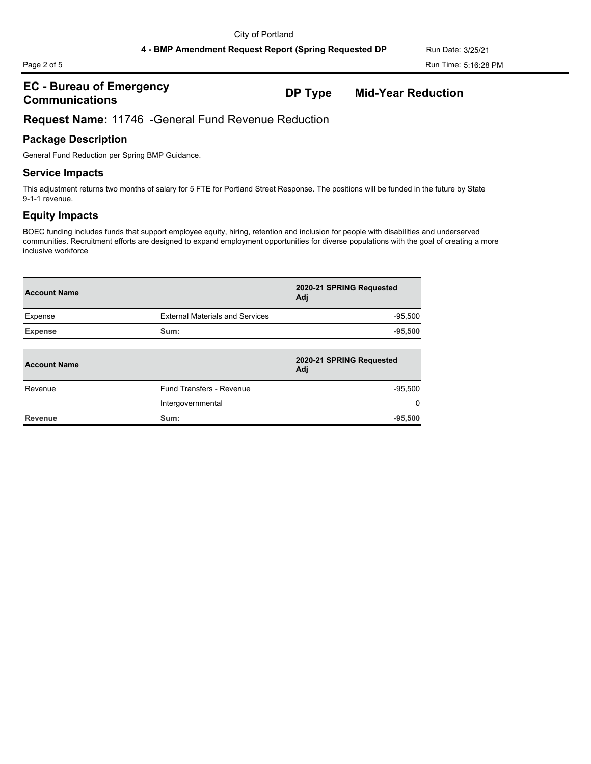### **EC - Bureau of Emergency Communications DP Type Mid-Year Reduction**

## **Request Name:** 11746 -General Fund Revenue Reduction

## **Package Description**

General Fund Reduction per Spring BMP Guidance.

### **Service Impacts**

This adjustment returns two months of salary for 5 FTE for Portland Street Response. The positions will be funded in the future by State 9-1-1 revenue.

# **Equity Impacts**

| <b>Account Name</b> |                                        | 2020-21 SPRING Requested<br>Adj |
|---------------------|----------------------------------------|---------------------------------|
| Expense             | <b>External Materials and Services</b> | $-95,500$                       |
| <b>Expense</b>      | Sum:                                   | $-95,500$                       |
| <b>Account Name</b> |                                        | 2020-21 SPRING Requested<br>Adi |
| Revenue             | Fund Transfers - Revenue               | $-95,500$                       |
|                     | Intergovernmental                      | $\Omega$                        |
| <b>Revenue</b>      | Sum:                                   | $-95,500$                       |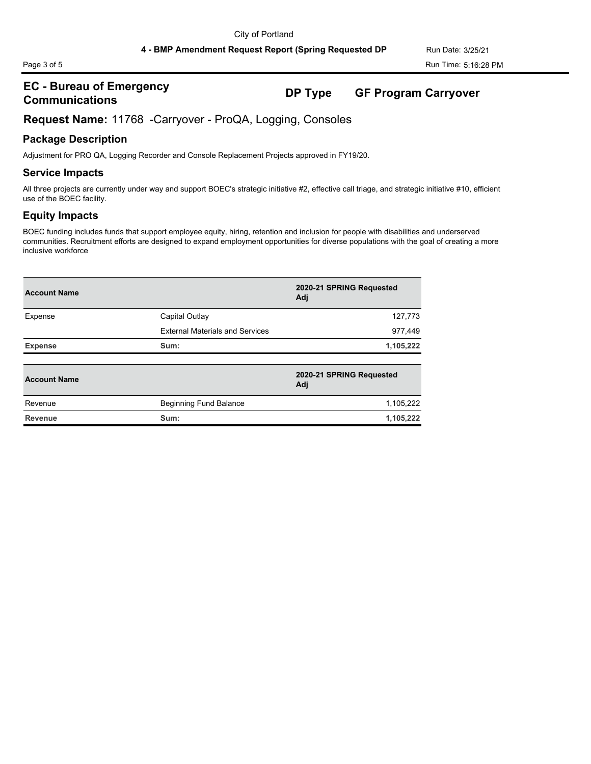### **EC - Bureau of Emergency Communications DP Type GF Program Carryover**

**Request Name:** 11768 -Carryover - ProQA, Logging, Consoles

### **Package Description**

Adjustment for PRO QA, Logging Recorder and Console Replacement Projects approved in FY19/20.

### **Service Impacts**

All three projects are currently under way and support BOEC's strategic initiative #2, effective call triage, and strategic initiative #10, efficient use of the BOEC facility.

### **Equity Impacts**

| <b>Account Name</b> |                                        | 2020-21 SPRING Requested<br>Adj |  |  |
|---------------------|----------------------------------------|---------------------------------|--|--|
| Expense             | Capital Outlay                         | 127,773                         |  |  |
|                     | <b>External Materials and Services</b> | 977,449                         |  |  |
| <b>Expense</b>      | Sum:                                   | 1,105,222                       |  |  |
| <b>Account Name</b> |                                        | 2020-21 SPRING Requested<br>Adj |  |  |
| Revenue             | Beginning Fund Balance                 | 1,105,222                       |  |  |
| <b>Revenue</b>      | Sum:                                   | 1,105,222                       |  |  |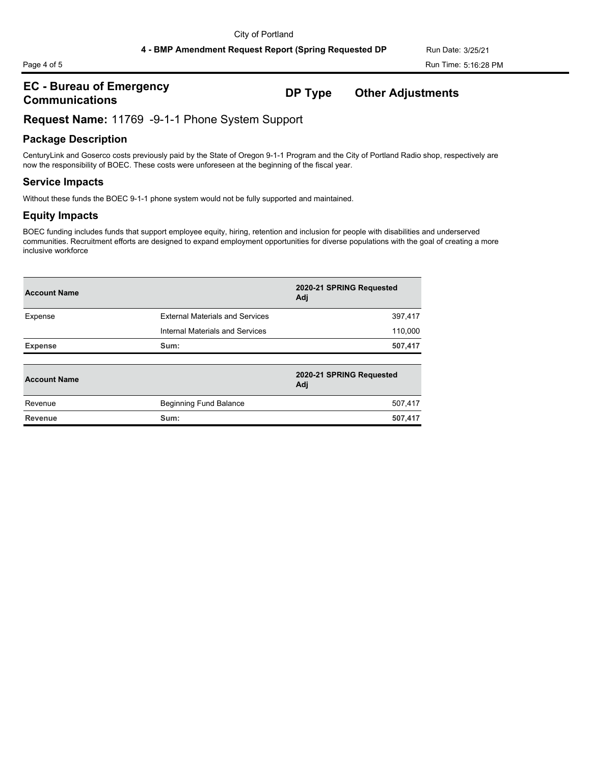### **EC - Bureau of Emergency Communications DP Type Other Adjustments**

### **Request Name:** 11769 -9-1-1 Phone System Support

### **Package Description**

CenturyLink and Goserco costs previously paid by the State of Oregon 9-1-1 Program and the City of Portland Radio shop, respectively are now the responsibility of BOEC. These costs were unforeseen at the beginning of the fiscal year.

### **Service Impacts**

Without these funds the BOEC 9-1-1 phone system would not be fully supported and maintained.

### **Equity Impacts**

| <b>Account Name</b> |                                        | 2020-21 SPRING Requested<br>Adj |  |  |
|---------------------|----------------------------------------|---------------------------------|--|--|
| Expense             | <b>External Materials and Services</b> | 397,417                         |  |  |
|                     | Internal Materials and Services        | 110,000                         |  |  |
| <b>Expense</b>      | Sum:                                   | 507,417                         |  |  |
| <b>Account Name</b> |                                        | 2020-21 SPRING Requested<br>Adj |  |  |
| Revenue             | <b>Beginning Fund Balance</b>          | 507,417                         |  |  |
| <b>Revenue</b>      | Sum:                                   | 507,417                         |  |  |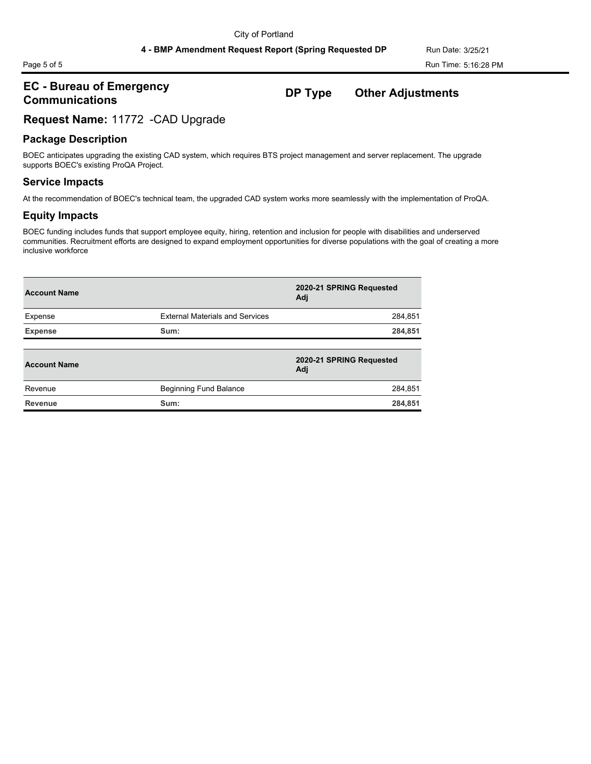# **EC - Bureau of Emergency Communications DP Type Other Adjustments**

### **Request Name:** 11772 -CAD Upgrade

### **Package Description**

BOEC anticipates upgrading the existing CAD system, which requires BTS project management and server replacement. The upgrade supports BOEC's existing ProQA Project.

### **Service Impacts**

At the recommendation of BOEC's technical team, the upgraded CAD system works more seamlessly with the implementation of ProQA.

### **Equity Impacts**

| <b>Account Name</b> |                                        | 2020-21 SPRING Requested<br>Adi |
|---------------------|----------------------------------------|---------------------------------|
| Expense             | <b>External Materials and Services</b> | 284,851                         |
| <b>Expense</b>      | Sum:                                   | 284,851                         |
| <b>Account Name</b> |                                        | 2020-21 SPRING Requested<br>Adj |
| Revenue             | Beginning Fund Balance                 | 284,851                         |
| Revenue             | Sum:                                   | 284,851                         |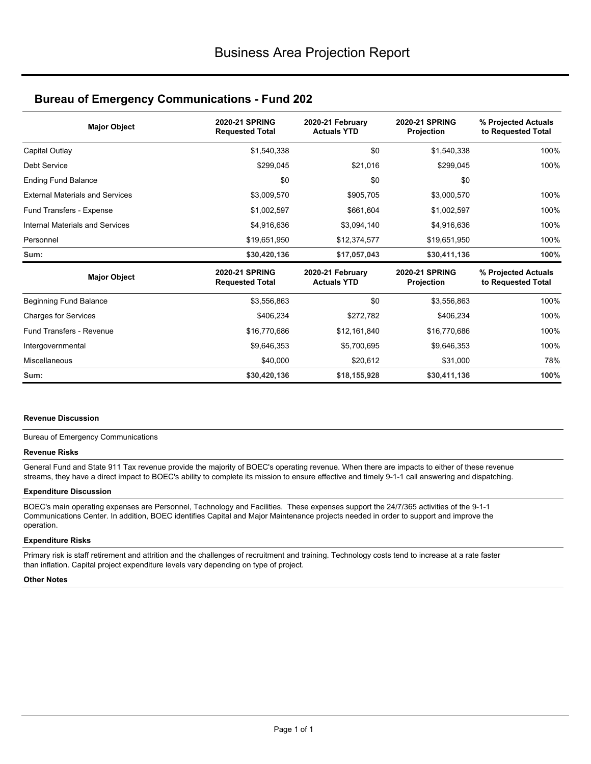### **Bureau of Emergency Communications - Fund 202**

| <b>Major Object</b>                    | <b>2020-21 SPRING</b><br><b>Requested Total</b> | 2020-21 February<br><b>Actuals YTD</b> | <b>2020-21 SPRING</b><br>Projection | % Projected Actuals<br>to Requested Total |  |
|----------------------------------------|-------------------------------------------------|----------------------------------------|-------------------------------------|-------------------------------------------|--|
| Capital Outlay                         | \$1,540,338                                     | \$0                                    | \$1,540,338                         | 100%                                      |  |
| <b>Debt Service</b>                    | \$299,045                                       | \$21,016                               | \$299,045                           | 100%                                      |  |
| <b>Ending Fund Balance</b>             | \$0                                             | \$0                                    | \$0                                 |                                           |  |
| <b>External Materials and Services</b> | \$3,009,570                                     | \$905,705                              | \$3,000,570                         | 100%                                      |  |
| Fund Transfers - Expense               | \$1,002,597                                     | \$661,604                              | \$1,002,597                         | 100%                                      |  |
| Internal Materials and Services        | \$4,916,636                                     | \$3,094,140<br>\$4,916,636             |                                     | 100%                                      |  |
| Personnel                              | \$19,651,950                                    | \$12,374,577<br>\$19,651,950           |                                     | 100%                                      |  |
| Sum:                                   | \$30,420,136                                    | \$17,057,043                           | \$30,411,136                        | 100%                                      |  |
| <b>Major Object</b>                    | 2020-21 SPRING<br><b>Requested Total</b>        | 2020-21 February<br><b>Actuals YTD</b> | <b>2020-21 SPRING</b><br>Projection | % Projected Actuals<br>to Requested Total |  |
| Beginning Fund Balance                 | \$3,556,863                                     | \$0                                    | \$3,556,863                         | 100%                                      |  |
| <b>Charges for Services</b>            | \$406,234                                       | \$272,782<br>\$406,234                 |                                     | 100%                                      |  |
| <b>Fund Transfers - Revenue</b>        | \$16,770,686                                    | \$12,161,840<br>\$16,770,686           |                                     | 100%                                      |  |
| Intergovernmental                      | \$9,646,353                                     | \$5,700,695<br>\$9,646,353             |                                     | 100%                                      |  |
| Miscellaneous                          | \$40,000                                        | \$20,612                               | \$31,000                            | 78%                                       |  |
| Sum:                                   | \$30,420,136                                    | \$18,155,928                           | \$30,411,136                        | 100%                                      |  |

### **Revenue Discussion**

### Bureau of Emergency Communications

### **Revenue Risks**

General Fund and State 911 Tax revenue provide the majority of BOEC's operating revenue. When there are impacts to either of these revenue streams, they have a direct impact to BOEC's ability to complete its mission to ensure effective and timely 9-1-1 call answering and dispatching.

### **Expenditure Discussion**

BOEC's main operating expenses are Personnel, Technology and Facilities. These expenses support the 24/7/365 activities of the 9-1-1 Communications Center. In addition, BOEC identifies Capital and Major Maintenance projects needed in order to support and improve the operation.

### **Expenditure Risks**

Primary risk is staff retirement and attrition and the challenges of recruitment and training. Technology costs tend to increase at a rate faster than inflation. Capital project expenditure levels vary depending on type of project.

### **Other Notes**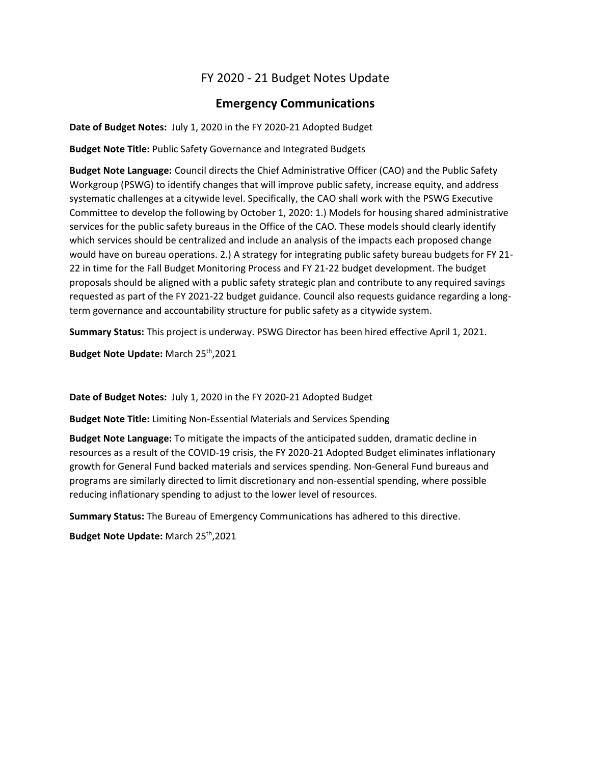# FY 2020 - 21 Budget Notes Update

# **Emergency Communications**

**Date of Budget Notes:** July 1, 2020 in the FY 2020-21 Adopted Budget

**Budget Note Title:** Public Safety Governance and Integrated Budgets

**Budget Note Language:** Council directs the Chief Administrative Officer (CAO) and the Public Safety Workgroup (PSWG) to identify changes that will improve public safety, increase equity, and address systematic challenges at a citywide level. Specifically, the CAO shall work with the PSWG Executive Committee to develop the following by October 1, 2020: 1.) Models for housing shared administrative services for the public safety bureaus in the Office of the CAO. These models should clearly identify which services should be centralized and include an analysis of the impacts each proposed change would have on bureau operations. 2.) A strategy for integrating public safety bureau budgets for FY 21- 22 in time for the Fall Budget Monitoring Process and FY 21-22 budget development. The budget proposals should be aligned with a public safety strategic plan and contribute to any required savings requested as part of the FY 2021-22 budget guidance. Council also requests guidance regarding a longterm governance and accountability structure for public safety as a citywide system.

**Summary Status:** This project is underway. PSWG Director has been hired effective April 1, 2021.

**Budget Note Update:** March 25th,2021

**Date of Budget Notes:** July 1, 2020 in the FY 2020-21 Adopted Budget

**Budget Note Title:** Limiting Non-Essential Materials and Services Spending

**Budget Note Language:** To mitigate the impacts of the anticipated sudden, dramatic decline in resources as a result of the COVID-19 crisis, the FY 2020-21 Adopted Budget eliminates inflationary growth for General Fund backed materials and services spending. Non-General Fund bureaus and programs are similarly directed to limit discretionary and non-essential spending, where possible reducing inflationary spending to adjust to the lower level of resources.

**Summary Status:** The Bureau of Emergency Communications has adhered to this directive.

**Budget Note Update:** March 25th,2021